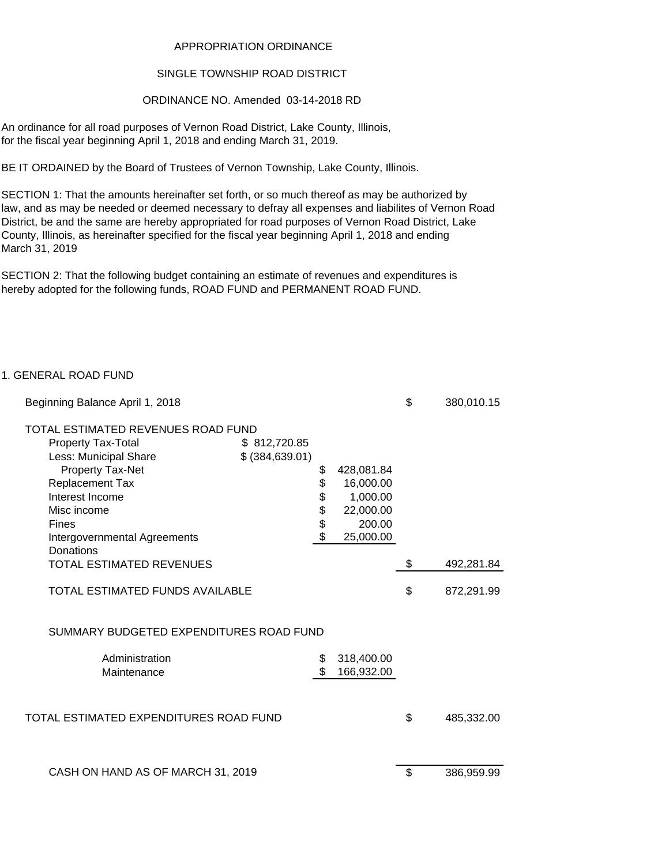### APPROPRIATION ORDINANCE

## SINGLE TOWNSHIP ROAD DISTRICT

## ORDINANCE NO. Amended 03-14-2018 RD

An ordinance for all road purposes of Vernon Road District, Lake County, Illinois, for the fiscal year beginning April 1, 2018 and ending March 31, 2019.

BE IT ORDAINED by the Board of Trustees of Vernon Township, Lake County, Illinois.

SECTION 1: That the amounts hereinafter set forth, or so much thereof as may be authorized by law, and as may be needed or deemed necessary to defray all expenses and liabilites of Vernon Road District, be and the same are hereby appropriated for road purposes of Vernon Road District, Lake County, Illinois, as hereinafter specified for the fiscal year beginning April 1, 2018 and ending March 31, 2019

SECTION 2: That the following budget containing an estimate of revenues and expenditures is hereby adopted for the following funds, ROAD FUND and PERMANENT ROAD FUND.

## 1. GENERAL ROAD FUND

| Beginning Balance April 1, 2018         |                  |                  | \$<br>380,010.15 |
|-----------------------------------------|------------------|------------------|------------------|
| TOTAL ESTIMATED REVENUES ROAD FUND      |                  |                  |                  |
| <b>Property Tax-Total</b>               | \$812,720.85     |                  |                  |
| Less: Municipal Share                   | \$ (384, 639.01) |                  |                  |
| Property Tax-Net                        |                  | \$<br>428,081.84 |                  |
| Replacement Tax                         |                  | \$<br>16,000.00  |                  |
| Interest Income                         |                  | \$<br>1,000.00   |                  |
| Misc income                             |                  | \$<br>22,000.00  |                  |
| <b>Fines</b>                            |                  | \$<br>200.00     |                  |
| Intergovernmental Agreements            |                  | \$<br>25,000.00  |                  |
| Donations                               |                  |                  |                  |
| <b>TOTAL ESTIMATED REVENUES</b>         |                  |                  | \$<br>492,281.84 |
| <b>TOTAL ESTIMATED FUNDS AVAILABLE</b>  |                  |                  | \$<br>872,291.99 |
| SUMMARY BUDGETED EXPENDITURES ROAD FUND |                  |                  |                  |
| Administration                          |                  | 318,400.00       |                  |
| Maintenance                             |                  | 166,932.00       |                  |
|                                         |                  |                  |                  |
| TOTAL ESTIMATED EXPENDITURES ROAD FUND  |                  |                  | \$<br>485,332.00 |
|                                         |                  |                  |                  |
| CASH ON HAND AS OF MARCH 31, 2019       |                  |                  | \$<br>386,959.99 |
|                                         |                  |                  |                  |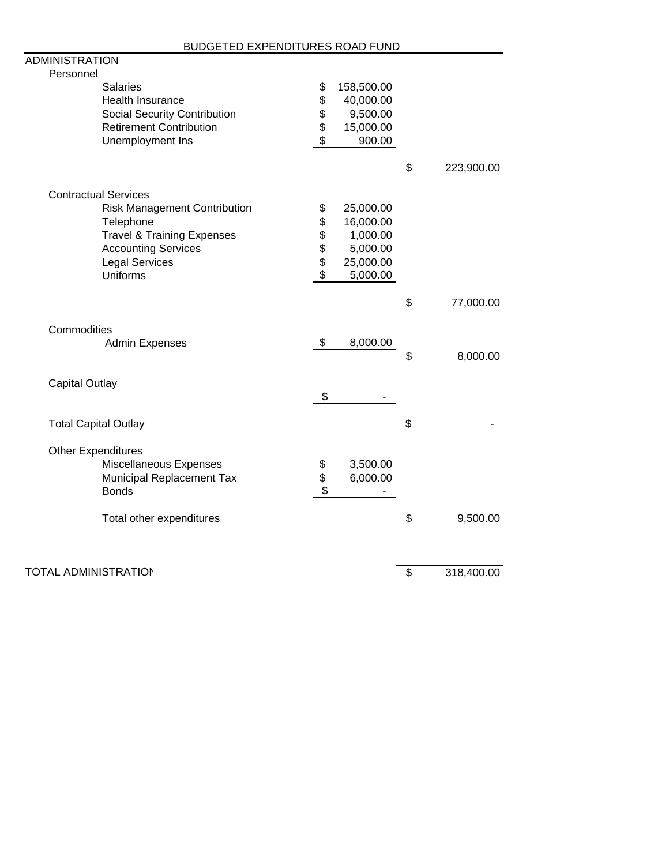| DUDUE I ED EAPENDITURES RUAD FUND<br>ADMINISTRATION |          |            |                  |
|-----------------------------------------------------|----------|------------|------------------|
| Personnel                                           |          |            |                  |
| <b>Salaries</b>                                     | \$       | 158,500.00 |                  |
| Health Insurance                                    | \$       | 40,000.00  |                  |
| Social Security Contribution                        |          | 9,500.00   |                  |
| <b>Retirement Contribution</b>                      | \$\$     | 15,000.00  |                  |
| Unemployment Ins                                    |          | 900.00     |                  |
|                                                     |          |            | \$<br>223,900.00 |
| <b>Contractual Services</b>                         |          |            |                  |
| <b>Risk Management Contribution</b>                 | \$       | 25,000.00  |                  |
| Telephone                                           | \$       | 16,000.00  |                  |
| <b>Travel &amp; Training Expenses</b>               |          | 1,000.00   |                  |
| <b>Accounting Services</b>                          | \$\$\$\$ | 5,000.00   |                  |
| <b>Legal Services</b>                               |          | 25,000.00  |                  |
| <b>Uniforms</b>                                     |          | 5,000.00   |                  |
|                                                     |          |            | \$<br>77,000.00  |
| Commodities                                         |          |            |                  |
| Admin Expenses                                      | \$       | 8,000.00   |                  |
|                                                     |          |            | \$<br>8,000.00   |
| <b>Capital Outlay</b>                               |          |            |                  |
|                                                     | \$       |            |                  |
| <b>Total Capital Outlay</b>                         |          |            | \$               |
| <b>Other Expenditures</b>                           |          |            |                  |
| Miscellaneous Expenses                              | \$       | 3,500.00   |                  |
| Municipal Replacement Tax                           | \$       | 6,000.00   |                  |
| <b>Bonds</b>                                        | \$       |            |                  |
| Total other expenditures                            |          |            | \$<br>9,500.00   |
| <b>TOTAL ADMINISTRATION</b>                         |          |            | \$<br>318,400.00 |
|                                                     |          |            |                  |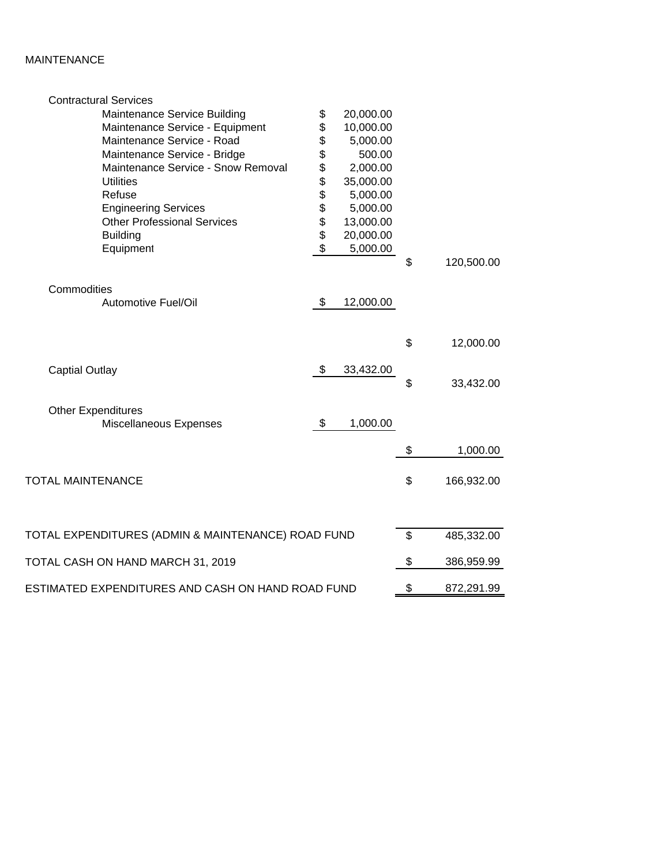# MAINTENANCE

| \$<br>Maintenance Service Building<br>20,000.00<br>\$<br>10,000.00<br>Maintenance Service - Equipment<br>\$<br>Maintenance Service - Road<br>5,000.00<br>\$<br>500.00<br>Maintenance Service - Bridge<br>\$<br>Maintenance Service - Snow Removal<br>2,000.00<br><b>888888</b><br><b>Utilities</b><br>35,000.00<br>Refuse<br>5,000.00<br>5,000.00<br><b>Engineering Services</b><br><b>Other Professional Services</b><br>13,000.00<br>20,000.00<br><b>Building</b><br>5,000.00<br>Equipment |            |
|----------------------------------------------------------------------------------------------------------------------------------------------------------------------------------------------------------------------------------------------------------------------------------------------------------------------------------------------------------------------------------------------------------------------------------------------------------------------------------------------|------------|
|                                                                                                                                                                                                                                                                                                                                                                                                                                                                                              |            |
|                                                                                                                                                                                                                                                                                                                                                                                                                                                                                              |            |
|                                                                                                                                                                                                                                                                                                                                                                                                                                                                                              |            |
|                                                                                                                                                                                                                                                                                                                                                                                                                                                                                              |            |
|                                                                                                                                                                                                                                                                                                                                                                                                                                                                                              |            |
|                                                                                                                                                                                                                                                                                                                                                                                                                                                                                              |            |
|                                                                                                                                                                                                                                                                                                                                                                                                                                                                                              |            |
|                                                                                                                                                                                                                                                                                                                                                                                                                                                                                              |            |
|                                                                                                                                                                                                                                                                                                                                                                                                                                                                                              |            |
|                                                                                                                                                                                                                                                                                                                                                                                                                                                                                              |            |
|                                                                                                                                                                                                                                                                                                                                                                                                                                                                                              |            |
| \$                                                                                                                                                                                                                                                                                                                                                                                                                                                                                           | 120,500.00 |
| Commodities                                                                                                                                                                                                                                                                                                                                                                                                                                                                                  |            |
| \$<br>Automotive Fuel/Oil<br>12,000.00                                                                                                                                                                                                                                                                                                                                                                                                                                                       |            |
|                                                                                                                                                                                                                                                                                                                                                                                                                                                                                              |            |
| \$                                                                                                                                                                                                                                                                                                                                                                                                                                                                                           | 12,000.00  |
| \$<br>33,432.00<br><b>Captial Outlay</b>                                                                                                                                                                                                                                                                                                                                                                                                                                                     |            |
| \$                                                                                                                                                                                                                                                                                                                                                                                                                                                                                           | 33,432.00  |
| <b>Other Expenditures</b>                                                                                                                                                                                                                                                                                                                                                                                                                                                                    |            |
| \$<br>1,000.00<br>Miscellaneous Expenses                                                                                                                                                                                                                                                                                                                                                                                                                                                     |            |
| \$                                                                                                                                                                                                                                                                                                                                                                                                                                                                                           | 1,000.00   |
| <b>TOTAL MAINTENANCE</b><br>\$                                                                                                                                                                                                                                                                                                                                                                                                                                                               | 166,932.00 |
|                                                                                                                                                                                                                                                                                                                                                                                                                                                                                              |            |
|                                                                                                                                                                                                                                                                                                                                                                                                                                                                                              |            |
| TOTAL EXPENDITURES (ADMIN & MAINTENANCE) ROAD FUND<br>\$                                                                                                                                                                                                                                                                                                                                                                                                                                     | 485,332.00 |
| \$<br>TOTAL CASH ON HAND MARCH 31, 2019                                                                                                                                                                                                                                                                                                                                                                                                                                                      | 386,959.99 |
| \$<br>ESTIMATED EXPENDITURES AND CASH ON HAND ROAD FUND                                                                                                                                                                                                                                                                                                                                                                                                                                      | 872,291.99 |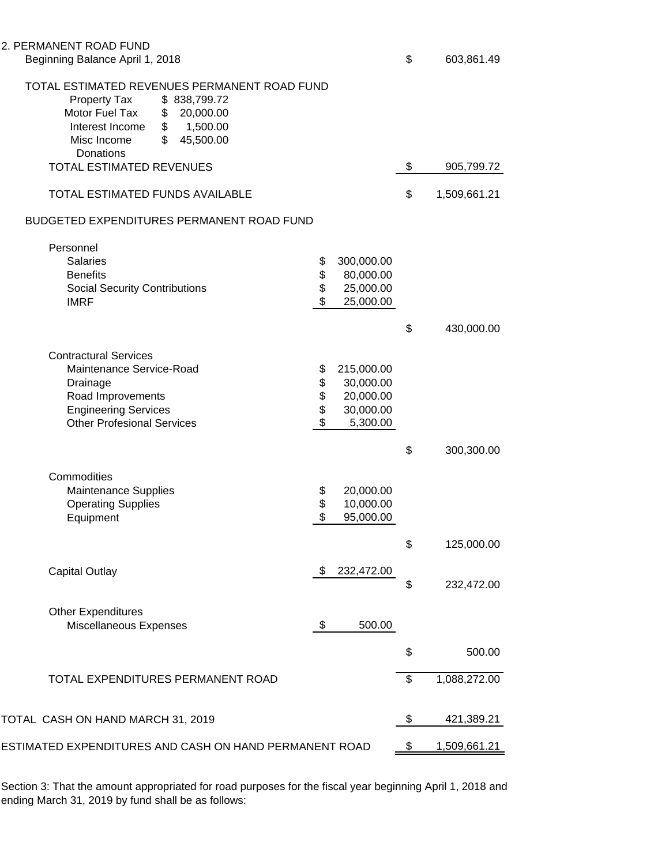2. PI

| ERMANENT ROAD FUND |  |  |  |  |  |  |  |  |  |
|--------------------|--|--|--|--|--|--|--|--|--|
|                    |  |  |  |  |  |  |  |  |  |

| TOTAL ESTIMATED REVENUES PERMANENT ROAD FUND<br>Property Tax<br>\$838,799.72<br>Motor Fuel Tax<br>\$ 20,000.00<br>1,500.00<br>Interest Income<br>\$<br>\$<br>45,500.00<br>Misc Income<br>Donations |                            |                                                               |                    |
|----------------------------------------------------------------------------------------------------------------------------------------------------------------------------------------------------|----------------------------|---------------------------------------------------------------|--------------------|
| TOTAL ESTIMATED REVENUES                                                                                                                                                                           | \$<br>905,799.72           |                                                               |                    |
| TOTAL ESTIMATED FUNDS AVAILABLE                                                                                                                                                                    | \$<br>1,509,661.21         |                                                               |                    |
| BUDGETED EXPENDITURES PERMANENT ROAD FUND                                                                                                                                                          |                            |                                                               |                    |
| Personnel<br><b>Salaries</b><br><b>Benefits</b><br><b>Social Security Contributions</b><br><b>IMRF</b>                                                                                             | \$<br>\$<br>\$<br>\$       | 300,000.00<br>80,000.00<br>25,000.00<br>25,000.00             |                    |
|                                                                                                                                                                                                    |                            |                                                               | \$<br>430,000.00   |
| <b>Contractural Services</b><br>Maintenance Service-Road<br>Drainage<br>Road Improvements<br><b>Engineering Services</b><br><b>Other Profesional Services</b>                                      | \$<br>\$<br>\$<br>\$<br>\$ | 215,000.00<br>30,000.00<br>20,000.00<br>30,000.00<br>5,300.00 |                    |
|                                                                                                                                                                                                    |                            |                                                               | \$<br>300,300.00   |
| Commodities<br>Maintenance Supplies<br><b>Operating Supplies</b><br>Equipment                                                                                                                      | \$<br>\$<br>\$             | 20,000.00<br>10,000.00<br>95,000.00                           |                    |
|                                                                                                                                                                                                    |                            |                                                               | \$<br>125,000.00   |
| <b>Capital Outlay</b>                                                                                                                                                                              | \$                         | 232,472.00                                                    | \$<br>232,472.00   |
| <b>Other Expenditures</b><br>Miscellaneous Expenses                                                                                                                                                | \$                         | 500.00                                                        |                    |
|                                                                                                                                                                                                    |                            |                                                               | \$<br>500.00       |
| TOTAL EXPENDITURES PERMANENT ROAD                                                                                                                                                                  |                            |                                                               | \$<br>1,088,272.00 |
| TOTAL CASH ON HAND MARCH 31, 2019                                                                                                                                                                  |                            |                                                               | \$<br>421,389.21   |
| ESTIMATED EXPENDITURES AND CASH ON HAND PERMANENT ROAD                                                                                                                                             |                            |                                                               | \$<br>1,509,661.21 |

Section 3: That the amount appropriated for road purposes for the fiscal year beginning April 1, 2018 and ending March 31, 2019 by fund shall be as follows: